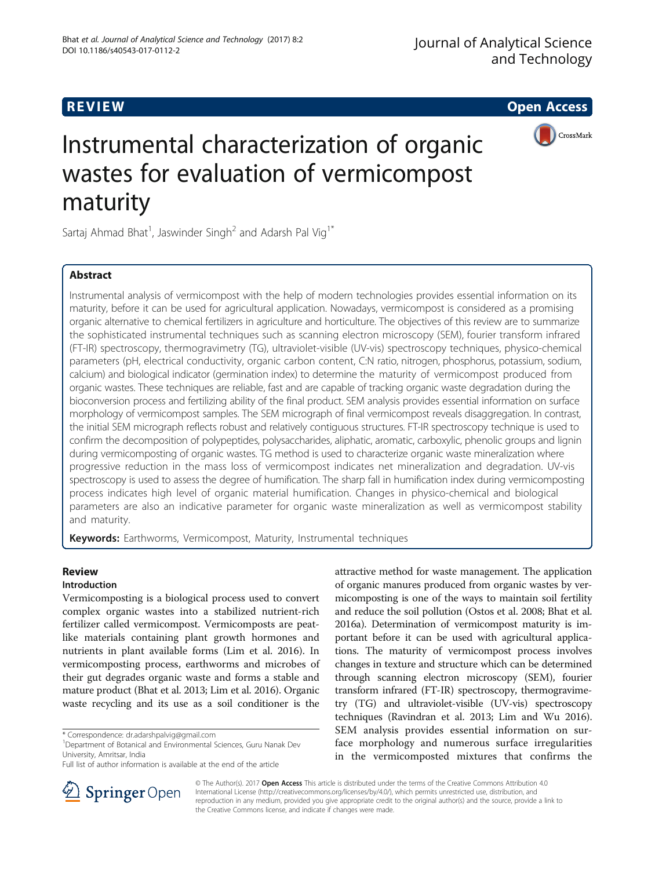

# Instrumental characterization of organic wastes for evaluation of vermicompost maturity

Sartaj Ahmad Bhat<sup>1</sup>, Jaswinder Singh<sup>2</sup> and Adarsh Pal Vig<sup>1\*</sup>

# **Abstract**

Instrumental analysis of vermicompost with the help of modern technologies provides essential information on its maturity, before it can be used for agricultural application. Nowadays, vermicompost is considered as a promising organic alternative to chemical fertilizers in agriculture and horticulture. The objectives of this review are to summarize the sophisticated instrumental techniques such as scanning electron microscopy (SEM), fourier transform infrared (FT-IR) spectroscopy, thermogravimetry (TG), ultraviolet-visible (UV-vis) spectroscopy techniques, physico-chemical parameters (pH, electrical conductivity, organic carbon content, C:N ratio, nitrogen, phosphorus, potassium, sodium, calcium) and biological indicator (germination index) to determine the maturity of vermicompost produced from organic wastes. These techniques are reliable, fast and are capable of tracking organic waste degradation during the bioconversion process and fertilizing ability of the final product. SEM analysis provides essential information on surface morphology of vermicompost samples. The SEM micrograph of final vermicompost reveals disaggregation. In contrast, the initial SEM micrograph reflects robust and relatively contiguous structures. FT-IR spectroscopy technique is used to confirm the decomposition of polypeptides, polysaccharides, aliphatic, aromatic, carboxylic, phenolic groups and lignin during vermicomposting of organic wastes. TG method is used to characterize organic waste mineralization where progressive reduction in the mass loss of vermicompost indicates net mineralization and degradation. UV-vis spectroscopy is used to assess the degree of humification. The sharp fall in humification index during vermicomposting process indicates high level of organic material humification. Changes in physico-chemical and biological parameters are also an indicative parameter for organic waste mineralization as well as vermicompost stability and maturity.

Keywords: Earthworms, Vermicompost, Maturity, Instrumental techniques

# **Review**

# Introduction

Vermicomposting is a biological process used to convert complex organic wastes into a stabilized nutrient-rich fertilizer called vermicompost. Vermicomposts are peatlike materials containing plant growth hormones and nutrients in plant available forms (Lim et al. [2016](#page-10-0)). In vermicomposting process, earthworms and microbes of their gut degrades organic waste and forms a stable and mature product (Bhat et al. [2013;](#page-9-0) Lim et al. [2016\)](#page-10-0). Organic waste recycling and its use as a soil conditioner is the

<sup>1</sup>Department of Botanical and Environmental Sciences, Guru Nanak Dev University, Amritsar, India

attractive method for waste management. The application of organic manures produced from organic wastes by vermicomposting is one of the ways to maintain soil fertility and reduce the soil pollution (Ostos et al. [2008](#page-10-0); Bhat et al. [2016a](#page-9-0)). Determination of vermicompost maturity is important before it can be used with agricultural applications. The maturity of vermicompost process involves changes in texture and structure which can be determined through scanning electron microscopy (SEM), fourier transform infrared (FT-IR) spectroscopy, thermogravimetry (TG) and ultraviolet-visible (UV-vis) spectroscopy techniques (Ravindran et al. [2013;](#page-10-0) Lim and Wu [2016](#page-10-0)). SEM analysis provides essential information on surface morphology and numerous surface irregularities in the vermicomposted mixtures that confirms the



© The Author(s). 2017 Open Access This article is distributed under the terms of the Creative Commons Attribution 4.0 International License ([http://creativecommons.org/licenses/by/4.0/\)](http://creativecommons.org/licenses/by/4.0/), which permits unrestricted use, distribution, and reproduction in any medium, provided you give appropriate credit to the original author(s) and the source, provide a link to the Creative Commons license, and indicate if changes were made.

<sup>\*</sup> Correspondence: [dr.adarshpalvig@gmail.com](mailto:dr.adarshpalvig@gmail.com) <sup>1</sup>

Full list of author information is available at the end of the article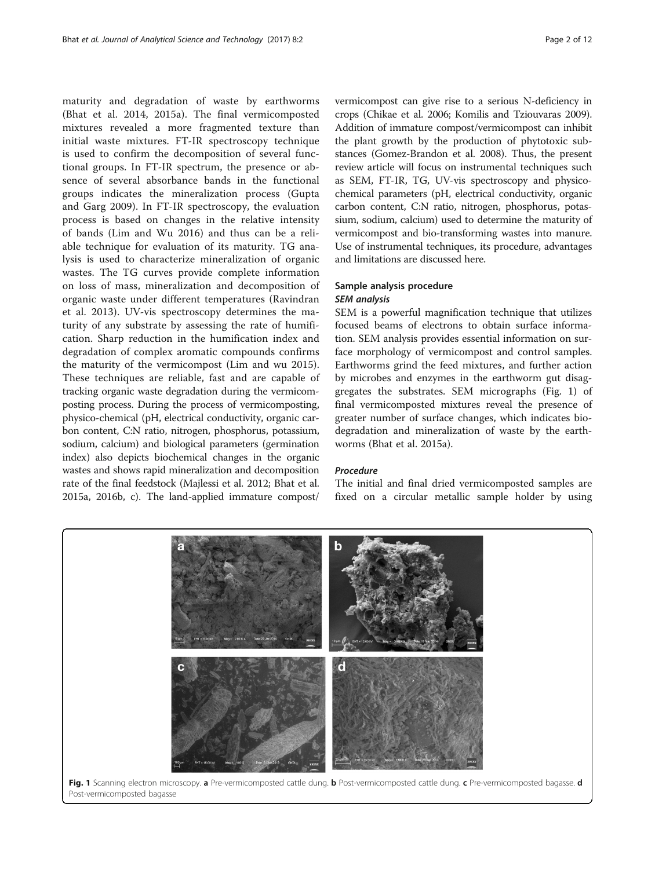maturity and degradation of waste by earthworms (Bhat et al. [2014, 2015a\)](#page-9-0). The final vermicomposted mixtures revealed a more fragmented texture than initial waste mixtures. FT-IR spectroscopy technique is used to confirm the decomposition of several functional groups. In FT-IR spectrum, the presence or absence of several absorbance bands in the functional groups indicates the mineralization process (Gupta and Garg [2009](#page-10-0)). In FT-IR spectroscopy, the evaluation process is based on changes in the relative intensity of bands (Lim and Wu [2016\)](#page-10-0) and thus can be a reliable technique for evaluation of its maturity. TG analysis is used to characterize mineralization of organic wastes. The TG curves provide complete information on loss of mass, mineralization and decomposition of organic waste under different temperatures (Ravindran et al. [2013](#page-10-0)). UV-vis spectroscopy determines the maturity of any substrate by assessing the rate of humification. Sharp reduction in the humification index and degradation of complex aromatic compounds confirms the maturity of the vermicompost (Lim and wu [2015](#page-10-0)). These techniques are reliable, fast and are capable of tracking organic waste degradation during the vermicomposting process. During the process of vermicomposting, physico-chemical (pH, electrical conductivity, organic carbon content, C:N ratio, nitrogen, phosphorus, potassium, sodium, calcium) and biological parameters (germination index) also depicts biochemical changes in the organic wastes and shows rapid mineralization and decomposition rate of the final feedstock (Majlessi et al. [2012](#page-10-0); Bhat et al. [2015a](#page-9-0), [2016b, c\)](#page-9-0). The land-applied immature compost/ vermicompost can give rise to a serious N-deficiency in crops (Chikae et al. [2006;](#page-9-0) Komilis and Tziouvaras [2009](#page-10-0)). Addition of immature compost/vermicompost can inhibit the plant growth by the production of phytotoxic substances (Gomez-Brandon et al. [2008\)](#page-10-0). Thus, the present review article will focus on instrumental techniques such as SEM, FT-IR, TG, UV-vis spectroscopy and physicochemical parameters (pH, electrical conductivity, organic carbon content, C:N ratio, nitrogen, phosphorus, potassium, sodium, calcium) used to determine the maturity of vermicompost and bio-transforming wastes into manure. Use of instrumental techniques, its procedure, advantages and limitations are discussed here.

# Sample analysis procedure SEM analysis

SEM is a powerful magnification technique that utilizes focused beams of electrons to obtain surface information. SEM analysis provides essential information on surface morphology of vermicompost and control samples. Earthworms grind the feed mixtures, and further action by microbes and enzymes in the earthworm gut disaggregates the substrates. SEM micrographs (Fig. 1) of final vermicomposted mixtures reveal the presence of greater number of surface changes, which indicates biodegradation and mineralization of waste by the earthworms (Bhat et al. [2015a\)](#page-9-0).

#### Procedure

The initial and final dried vermicomposted samples are fixed on a circular metallic sample holder by using

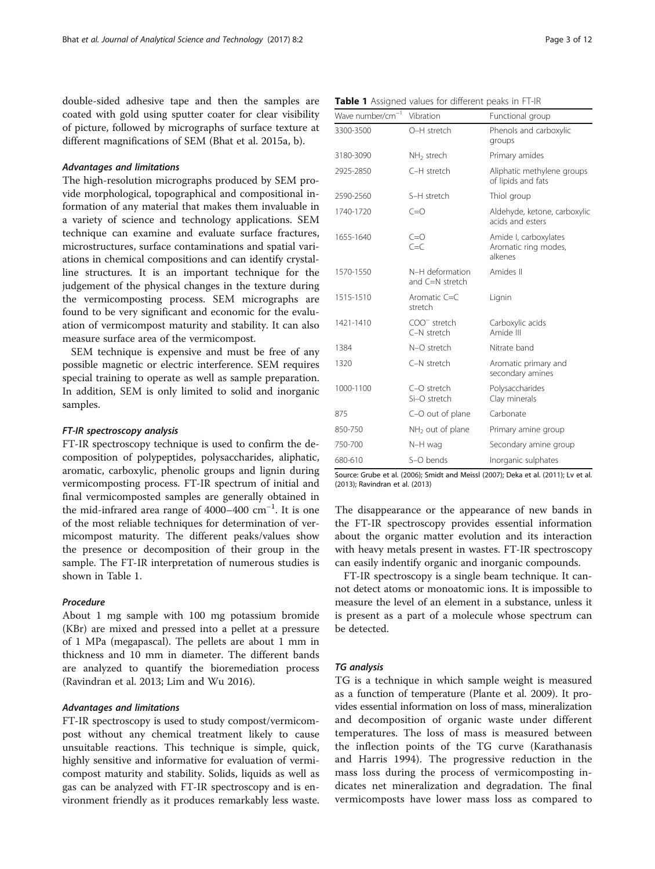double-sided adhesive tape and then the samples are coated with gold using sputter coater for clear visibility of picture, followed by micrographs of surface texture at different magnifications of SEM (Bhat et al. [2015a, b](#page-9-0)).

#### Advantages and limitations

The high-resolution micrographs produced by SEM provide morphological, topographical and compositional information of any material that makes them invaluable in a variety of science and technology applications. SEM technique can examine and evaluate surface fractures, microstructures, surface contaminations and spatial variations in chemical compositions and can identify crystalline structures. It is an important technique for the judgement of the physical changes in the texture during the vermicomposting process. SEM micrographs are found to be very significant and economic for the evaluation of vermicompost maturity and stability. It can also measure surface area of the vermicompost.

SEM technique is expensive and must be free of any possible magnetic or electric interference. SEM requires special training to operate as well as sample preparation. In addition, SEM is only limited to solid and inorganic samples.

#### FT-IR spectroscopy analysis

FT-IR spectroscopy technique is used to confirm the decomposition of polypeptides, polysaccharides, aliphatic, aromatic, carboxylic, phenolic groups and lignin during vermicomposting process. FT-IR spectrum of initial and final vermicomposted samples are generally obtained in the mid-infrared area range of 4000–400 cm−<sup>1</sup> . It is one of the most reliable techniques for determination of vermicompost maturity. The different peaks/values show the presence or decomposition of their group in the sample. The FT-IR interpretation of numerous studies is shown in Table 1.

#### Procedure

About 1 mg sample with 100 mg potassium bromide (KBr) are mixed and pressed into a pellet at a pressure of 1 MPa (megapascal). The pellets are about 1 mm in thickness and 10 mm in diameter. The different bands are analyzed to quantify the bioremediation process (Ravindran et al. [2013;](#page-10-0) Lim and Wu [2016\)](#page-10-0).

#### Advantages and limitations

FT-IR spectroscopy is used to study compost/vermicompost without any chemical treatment likely to cause unsuitable reactions. This technique is simple, quick, highly sensitive and informative for evaluation of vermicompost maturity and stability. Solids, liquids as well as gas can be analyzed with FT-IR spectroscopy and is environment friendly as it produces remarkably less waste.

| Page 3 of 12 |  |  |  |  |
|--------------|--|--|--|--|
|--------------|--|--|--|--|

#### Table 1 Assigned values for different peaks in FT-IR

| Wave number/cm <sup>-1</sup> | Vibration                               | Functional group                                         |
|------------------------------|-----------------------------------------|----------------------------------------------------------|
| 3300-3500                    | O-H stretch                             | Phenols and carboxylic<br>groups                         |
| 3180-3090                    | $NH2$ strech                            | Primary amides                                           |
| 2925-2850                    | C-H stretch                             | Aliphatic methylene groups<br>of lipids and fats         |
| 2590-2560                    | S-H stretch                             | Thiol group                                              |
| 1740-1720                    | $C = 0$                                 | Aldehyde, ketone, carboxylic<br>acids and esters         |
| 1655-1640                    | $C = 0$<br>$C = C$                      | Amide I, carboxylates<br>Aromatic ring modes,<br>alkenes |
| 1570-1550                    | N-H deformation<br>and $C=N$ stretch    | Amides II                                                |
| 1515-1510                    | Aromatic C=C<br>stretch                 | Lignin                                                   |
| 1421-1410                    | COO <sup>-</sup> stretch<br>C-N stretch | Carboxylic acids<br>Amide III                            |
| 1384                         | N-O stretch                             | Nitrate band                                             |
| 1320                         | C-N stretch                             | Aromatic primary and<br>secondary amines                 |
| 1000-1100                    | C-O stretch<br>Si-O stretch             | Polysaccharides<br>Clay minerals                         |
| 875                          | C-O out of plane                        | Carbonate                                                |
| 850-750                      | $NH2$ out of plane                      | Primary amine group                                      |
| 750-700                      | N-H wag                                 | Secondary amine group                                    |
| 680-610                      | S-O bends                               | Inorganic sulphates                                      |

Source: Grube et al. ([2006\)](#page-10-0); Smidt and Meissl ([2007](#page-10-0)); Deka et al. ([2011](#page-9-0)); Lv et al. ([2013\)](#page-10-0); Ravindran et al. [\(2013\)](#page-10-0)

The disappearance or the appearance of new bands in the FT-IR spectroscopy provides essential information about the organic matter evolution and its interaction with heavy metals present in wastes. FT-IR spectroscopy can easily indentify organic and inorganic compounds.

FT-IR spectroscopy is a single beam technique. It cannot detect atoms or monoatomic ions. It is impossible to measure the level of an element in a substance, unless it is present as a part of a molecule whose spectrum can be detected.

#### TG analysis

TG is a technique in which sample weight is measured as a function of temperature (Plante et al. [2009](#page-10-0)). It provides essential information on loss of mass, mineralization and decomposition of organic waste under different temperatures. The loss of mass is measured between the inflection points of the TG curve (Karathanasis and Harris [1994](#page-10-0)). The progressive reduction in the mass loss during the process of vermicomposting indicates net mineralization and degradation. The final vermicomposts have lower mass loss as compared to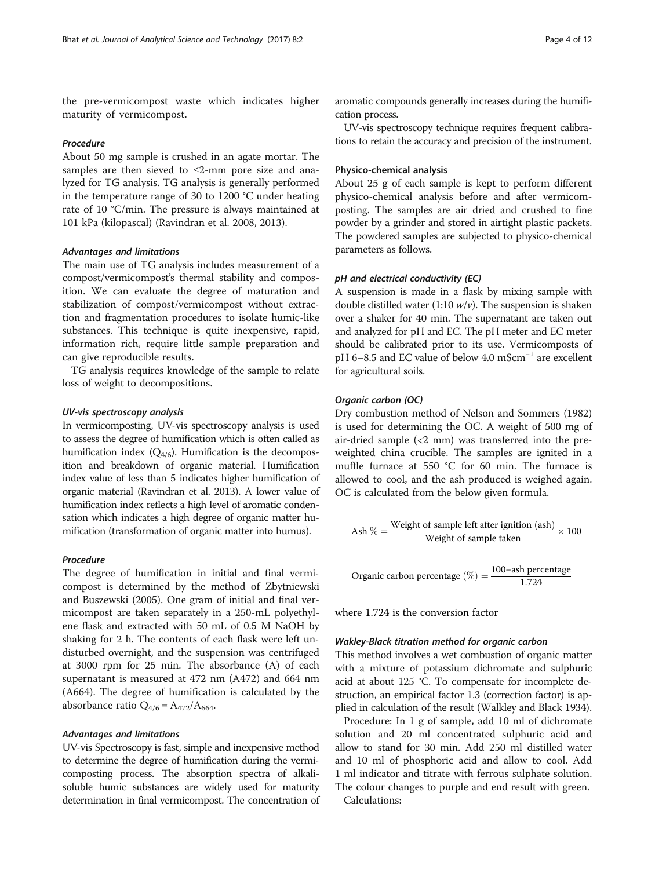the pre-vermicompost waste which indicates higher maturity of vermicompost.

#### Procedure

About 50 mg sample is crushed in an agate mortar. The samples are then sieved to ≤2-mm pore size and analyzed for TG analysis. TG analysis is generally performed in the temperature range of 30 to 1200 °C under heating rate of 10 °C/min. The pressure is always maintained at 101 kPa (kilopascal) (Ravindran et al. [2008](#page-10-0), [2013](#page-10-0)).

#### Advantages and limitations

The main use of TG analysis includes measurement of a compost/vermicompost's thermal stability and composition. We can evaluate the degree of maturation and stabilization of compost/vermicompost without extraction and fragmentation procedures to isolate humic-like substances. This technique is quite inexpensive, rapid, information rich, require little sample preparation and can give reproducible results.

TG analysis requires knowledge of the sample to relate loss of weight to decompositions.

#### UV-vis spectroscopy analysis

In vermicomposting, UV-vis spectroscopy analysis is used to assess the degree of humification which is often called as humification index  $(Q_{4/6})$ . Humification is the decomposition and breakdown of organic material. Humification index value of less than 5 indicates higher humification of organic material (Ravindran et al. [2013\)](#page-10-0). A lower value of humification index reflects a high level of aromatic condensation which indicates a high degree of organic matter humification (transformation of organic matter into humus).

#### Procedure

The degree of humification in initial and final vermicompost is determined by the method of Zbytniewski and Buszewski [\(2005\)](#page-11-0). One gram of initial and final vermicompost are taken separately in a 250-mL polyethylene flask and extracted with 50 mL of 0.5 M NaOH by shaking for 2 h. The contents of each flask were left undisturbed overnight, and the suspension was centrifuged at 3000 rpm for 25 min. The absorbance (A) of each supernatant is measured at 472 nm (A472) and 664 nm (A664). The degree of humification is calculated by the absorbance ratio  $Q_{4/6} = A_{472}/A_{664}$ .

#### Advantages and limitations

UV-vis Spectroscopy is fast, simple and inexpensive method to determine the degree of humification during the vermicomposting process. The absorption spectra of alkalisoluble humic substances are widely used for maturity determination in final vermicompost. The concentration of aromatic compounds generally increases during the humification process.

UV-vis spectroscopy technique requires frequent calibrations to retain the accuracy and precision of the instrument.

#### Physico-chemical analysis

About 25 g of each sample is kept to perform different physico-chemical analysis before and after vermicomposting. The samples are air dried and crushed to fine powder by a grinder and stored in airtight plastic packets. The powdered samples are subjected to physico-chemical parameters as follows.

#### pH and electrical conductivity (EC)

A suspension is made in a flask by mixing sample with double distilled water (1:10  $w/v$ ). The suspension is shaken over a shaker for 40 min. The supernatant are taken out and analyzed for pH and EC. The pH meter and EC meter should be calibrated prior to its use. Vermicomposts of pH 6–8.5 and EC value of below 4.0 mScm<sup>-1</sup> are excellent for agricultural soils.

#### Organic carbon (OC)

Dry combustion method of Nelson and Sommers ([1982](#page-10-0)) is used for determining the OC. A weight of 500 mg of air-dried sample (<2 mm) was transferred into the preweighted china crucible. The samples are ignited in a muffle furnace at 550 °C for 60 min. The furnace is allowed to cool, and the ash produced is weighed again. OC is calculated from the below given formula.

$$
Ash \ \% = \frac{Weight \ of \ sample \ left \ after \ ignition \ (ash)}{\text{Weight of sample taken}} \times 100
$$

Organic carbon percentage 
$$
(\%) = \frac{100-\text{ash percentage}}{1.724}
$$

where 1.724 is the conversion factor

#### Wakley-Black titration method for organic carbon

This method involves a wet combustion of organic matter with a mixture of potassium dichromate and sulphuric acid at about 125 °C. To compensate for incomplete destruction, an empirical factor 1.3 (correction factor) is applied in calculation of the result (Walkley and Black [1934](#page-11-0)).

Procedure: In 1 g of sample, add 10 ml of dichromate solution and 20 ml concentrated sulphuric acid and allow to stand for 30 min. Add 250 ml distilled water and 10 ml of phosphoric acid and allow to cool. Add 1 ml indicator and titrate with ferrous sulphate solution. The colour changes to purple and end result with green. Calculations: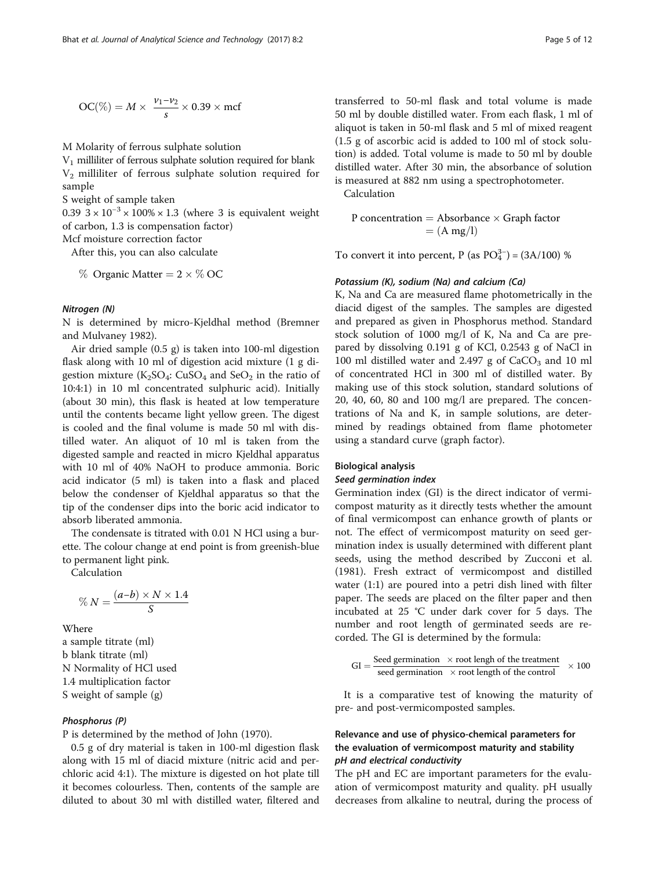$$
OC(\%) = M \times \frac{\nu_1 - \nu_2}{s} \times 0.39 \times mcf
$$

M Molarity of ferrous sulphate solution

 $V_1$  milliliter of ferrous sulphate solution required for blank  $V_2$  milliliter of ferrous sulphate solution required for sample

S weight of sample taken

0.39  $3 \times 10^{-3} \times 100\% \times 1.3$  (where 3 is equivalent weight of carbon, 1.3 is compensation factor)

Mcf moisture correction factor

After this, you can also calculate

$$
\% \text{ Organic Matter} = 2 \times \% \text{OC}
$$

#### Nitrogen (N)

N is determined by micro-Kjeldhal method (Bremner and Mulvaney [1982](#page-9-0)).

Air dried sample (0.5 g) is taken into 100-ml digestion flask along with 10 ml of digestion acid mixture (1 g digestion mixture  $(K_2SO_4: CuSO_4$  and  $SeO_2$  in the ratio of 10:4:1) in 10 ml concentrated sulphuric acid). Initially (about 30 min), this flask is heated at low temperature until the contents became light yellow green. The digest is cooled and the final volume is made 50 ml with distilled water. An aliquot of 10 ml is taken from the digested sample and reacted in micro Kjeldhal apparatus with 10 ml of 40% NaOH to produce ammonia. Boric acid indicator (5 ml) is taken into a flask and placed below the condenser of Kjeldhal apparatus so that the tip of the condenser dips into the boric acid indicator to absorb liberated ammonia.

The condensate is titrated with 0.01 N HCl using a burette. The colour change at end point is from greenish-blue to permanent light pink.

Calculation

$$
\% N = \frac{(a-b) \times N \times 1.4}{S}
$$

Where

a sample titrate (ml) b blank titrate (ml) N Normality of HCl used 1.4 multiplication factor S weight of sample (g)

#### Phosphorus (P)

P is determined by the method of John ([1970](#page-10-0)).

0.5 g of dry material is taken in 100-ml digestion flask along with 15 ml of diacid mixture (nitric acid and perchloric acid 4:1). The mixture is digested on hot plate till it becomes colourless. Then, contents of the sample are diluted to about 30 ml with distilled water, filtered and

transferred to 50-ml flask and total volume is made 50 ml by double distilled water. From each flask, 1 ml of aliquot is taken in 50-ml flask and 5 ml of mixed reagent (1.5 g of ascorbic acid is added to 100 ml of stock solution) is added. Total volume is made to 50 ml by double distilled water. After 30 min, the absorbance of solution is measured at 882 nm using a spectrophotometer.

Calculation

P concentration = Absorbance  $\times$  Graph factor  $=$   $(A \text{ mg/l})$ 

To convert it into percent, P (as  $PO_4^{3-}$ ) = (3A/100) %

#### Potassium (K), sodium (Na) and calcium (Ca)

K, Na and Ca are measured flame photometrically in the diacid digest of the samples. The samples are digested and prepared as given in Phosphorus method. Standard stock solution of 1000 mg/l of K, Na and Ca are prepared by dissolving 0.191 g of KCl, 0.2543 g of NaCl in 100 ml distilled water and 2.497 g of  $CaCO<sub>3</sub>$  and 10 ml of concentrated HCl in 300 ml of distilled water. By making use of this stock solution, standard solutions of 20, 40, 60, 80 and 100 mg/l are prepared. The concentrations of Na and K, in sample solutions, are determined by readings obtained from flame photometer using a standard curve (graph factor).

#### Biological analysis

#### Seed germination index

Germination index (GI) is the direct indicator of vermicompost maturity as it directly tests whether the amount of final vermicompost can enhance growth of plants or not. The effect of vermicompost maturity on seed germination index is usually determined with different plant seeds, using the method described by Zucconi et al. ([1981\)](#page-11-0). Fresh extract of vermicompost and distilled water (1:1) are poured into a petri dish lined with filter paper. The seeds are placed on the filter paper and then incubated at 25 °C under dark cover for 5 days. The number and root length of germinated seeds are recorded. The GI is determined by the formula:

$$
GI = \frac{\text{Seed germination} \times \text{root length of the treatment}}{\text{seed germination} \times \text{root length of the control}} \times 100
$$

It is a comparative test of knowing the maturity of pre- and post-vermicomposted samples.

# Relevance and use of physico-chemical parameters for the evaluation of vermicompost maturity and stability pH and electrical conductivity

The pH and EC are important parameters for the evaluation of vermicompost maturity and quality. pH usually decreases from alkaline to neutral, during the process of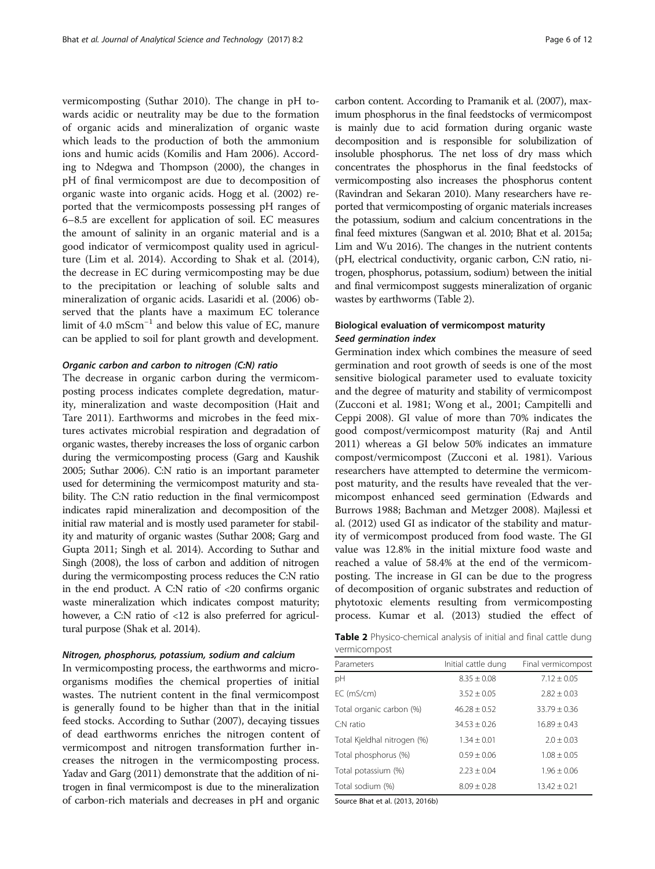vermicomposting (Suthar [2010](#page-10-0)). The change in pH towards acidic or neutrality may be due to the formation of organic acids and mineralization of organic waste which leads to the production of both the ammonium ions and humic acids (Komilis and Ham [2006](#page-10-0)). According to Ndegwa and Thompson ([2000](#page-10-0)), the changes in pH of final vermicompost are due to decomposition of organic waste into organic acids. Hogg et al. [\(2002\)](#page-10-0) reported that the vermicomposts possessing pH ranges of 6–8.5 are excellent for application of soil. EC measures the amount of salinity in an organic material and is a good indicator of vermicompost quality used in agriculture (Lim et al. [2014](#page-10-0)). According to Shak et al. ([2014](#page-10-0)), the decrease in EC during vermicomposting may be due to the precipitation or leaching of soluble salts and mineralization of organic acids. Lasaridi et al. ([2006](#page-10-0)) observed that the plants have a maximum EC tolerance limit of 4.0 mScm−<sup>1</sup> and below this value of EC, manure can be applied to soil for plant growth and development.

#### Organic carbon and carbon to nitrogen (C:N) ratio

The decrease in organic carbon during the vermicomposting process indicates complete degredation, maturity, mineralization and waste decomposition (Hait and Tare [2011](#page-10-0)). Earthworms and microbes in the feed mixtures activates microbial respiration and degradation of organic wastes, thereby increases the loss of organic carbon during the vermicomposting process (Garg and Kaushik [2005;](#page-10-0) Suthar [2006](#page-10-0)). C:N ratio is an important parameter used for determining the vermicompost maturity and stability. The C:N ratio reduction in the final vermicompost indicates rapid mineralization and decomposition of the initial raw material and is mostly used parameter for stability and maturity of organic wastes (Suthar [2008;](#page-10-0) Garg and Gupta [2011](#page-10-0); Singh et al. [2014\)](#page-10-0). According to Suthar and Singh ([2008\)](#page-11-0), the loss of carbon and addition of nitrogen during the vermicomposting process reduces the C:N ratio in the end product. A C:N ratio of <20 confirms organic waste mineralization which indicates compost maturity; however, a C:N ratio of <12 is also preferred for agricultural purpose (Shak et al. [2014\)](#page-10-0).

#### Nitrogen, phosphorus, potassium, sodium and calcium

In vermicomposting process, the earthworms and microorganisms modifies the chemical properties of initial wastes. The nutrient content in the final vermicompost is generally found to be higher than that in the initial feed stocks. According to Suthar [\(2007\)](#page-10-0), decaying tissues of dead earthworms enriches the nitrogen content of vermicompost and nitrogen transformation further increases the nitrogen in the vermicomposting process. Yadav and Garg ([2011\)](#page-11-0) demonstrate that the addition of nitrogen in final vermicompost is due to the mineralization of carbon-rich materials and decreases in pH and organic carbon content. According to Pramanik et al. [\(2007\)](#page-10-0), maximum phosphorus in the final feedstocks of vermicompost is mainly due to acid formation during organic waste decomposition and is responsible for solubilization of insoluble phosphorus. The net loss of dry mass which concentrates the phosphorus in the final feedstocks of vermicomposting also increases the phosphorus content (Ravindran and Sekaran [2010](#page-10-0)). Many researchers have reported that vermicomposting of organic materials increases the potassium, sodium and calcium concentrations in the final feed mixtures (Sangwan et al. [2010;](#page-10-0) Bhat et al. [2015a](#page-9-0); Lim and Wu [2016\)](#page-10-0). The changes in the nutrient contents (pH, electrical conductivity, organic carbon, C:N ratio, nitrogen, phosphorus, potassium, sodium) between the initial and final vermicompost suggests mineralization of organic wastes by earthworms (Table 2).

## Biological evaluation of vermicompost maturity Seed germination index

Germination index which combines the measure of seed germination and root growth of seeds is one of the most sensitive biological parameter used to evaluate toxicity and the degree of maturity and stability of vermicompost (Zucconi et al. [1981](#page-11-0); Wong et al., [2001](#page-11-0); Campitelli and Ceppi [2008\)](#page-9-0). GI value of more than 70% indicates the good compost/vermicompost maturity (Raj and Antil [2011](#page-10-0)) whereas a GI below 50% indicates an immature compost/vermicompost (Zucconi et al. [1981\)](#page-11-0). Various researchers have attempted to determine the vermicompost maturity, and the results have revealed that the vermicompost enhanced seed germination (Edwards and Burrows [1988](#page-9-0); Bachman and Metzger [2008](#page-9-0)). Majlessi et al. ([2012\)](#page-10-0) used GI as indicator of the stability and maturity of vermicompost produced from food waste. The GI value was 12.8% in the initial mixture food waste and reached a value of 58.4% at the end of the vermicomposting. The increase in GI can be due to the progress of decomposition of organic substrates and reduction of phytotoxic elements resulting from vermicomposting process. Kumar et al. [\(2013\)](#page-10-0) studied the effect of

Table 2 Physico-chemical analysis of initial and final cattle dung vermicompost

| Parameters                  | Initial cattle dung | Final vermicompost |
|-----------------------------|---------------------|--------------------|
| pH                          | $8.35 \pm 0.08$     | $7.12 \pm 0.05$    |
| $EC$ (mS/cm)                | $3.52 \pm 0.05$     | $2.82 + 0.03$      |
| Total organic carbon (%)    | $46.28 + 0.52$      | $33.79 + 0.36$     |
| $C: N$ ratio                | $34.53 + 0.26$      | $16.89 + 0.43$     |
| Total Kjeldhal nitrogen (%) | $1.34 + 0.01$       | $2.0 + 0.03$       |
| Total phosphorus (%)        | $0.59 + 0.06$       | $1.08 + 0.05$      |
| Total potassium (%)         | $2.23 + 0.04$       | $1.96 \pm 0.06$    |
| Total sodium (%)            | $8.09 + 0.28$       | $13.42 + 0.21$     |
|                             |                     |                    |

Source Bhat et al. [\(2013,](#page-9-0) [2016b\)](#page-9-0)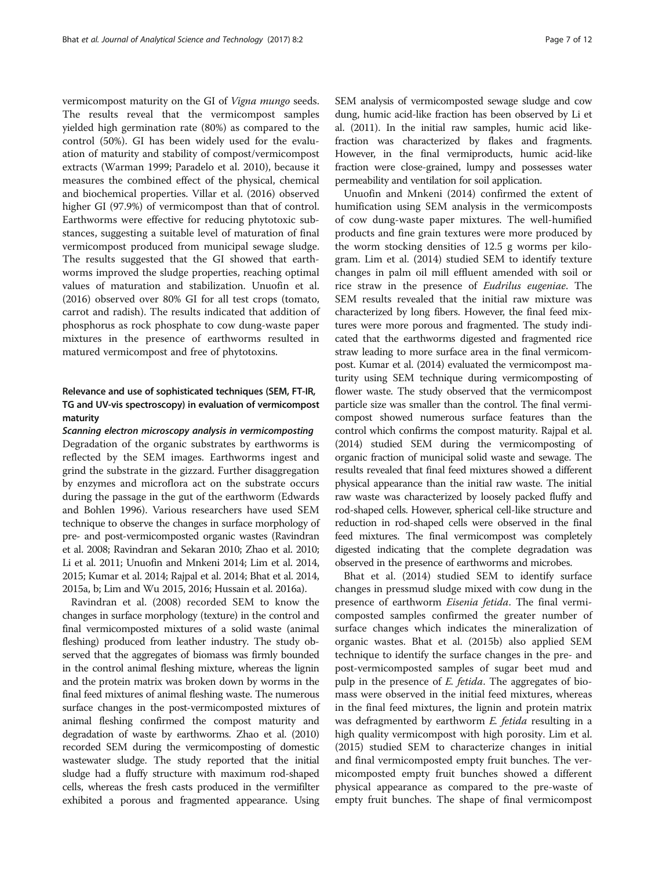vermicompost maturity on the GI of Vigna mungo seeds. The results reveal that the vermicompost samples yielded high germination rate (80%) as compared to the control (50%). GI has been widely used for the evaluation of maturity and stability of compost/vermicompost extracts (Warman [1999](#page-11-0); Paradelo et al. [2010\)](#page-10-0), because it measures the combined effect of the physical, chemical and biochemical properties. Villar et al. ([2016](#page-11-0)) observed higher GI (97.9%) of vermicompost than that of control. Earthworms were effective for reducing phytotoxic substances, suggesting a suitable level of maturation of final vermicompost produced from municipal sewage sludge. The results suggested that the GI showed that earthworms improved the sludge properties, reaching optimal values of maturation and stabilization. Unuofin et al. ([2016](#page-11-0)) observed over 80% GI for all test crops (tomato, carrot and radish). The results indicated that addition of phosphorus as rock phosphate to cow dung-waste paper mixtures in the presence of earthworms resulted in matured vermicompost and free of phytotoxins.

# Relevance and use of sophisticated techniques (SEM, FT-IR, TG and UV-vis spectroscopy) in evaluation of vermicompost maturity

Scanning electron microscopy analysis in vermicomposting Degradation of the organic substrates by earthworms is reflected by the SEM images. Earthworms ingest and grind the substrate in the gizzard. Further disaggregation by enzymes and microflora act on the substrate occurs during the passage in the gut of the earthworm (Edwards and Bohlen [1996\)](#page-9-0). Various researchers have used SEM technique to observe the changes in surface morphology of pre- and post-vermicomposted organic wastes (Ravindran et al. [2008](#page-10-0); Ravindran and Sekaran [2010;](#page-10-0) Zhao et al. [2010](#page-11-0); Li et al. [2011](#page-10-0); Unuofin and Mnkeni [2014](#page-11-0); Lim et al. [2014](#page-10-0), [2015;](#page-10-0) Kumar et al. [2014;](#page-10-0) Rajpal et al. [2014;](#page-10-0) Bhat et al. [2014](#page-9-0), [2015a](#page-9-0), [b;](#page-9-0) Lim and Wu [2015, 2016](#page-10-0); Hussain et al. [2016a\)](#page-10-0).

Ravindran et al. ([2008\)](#page-10-0) recorded SEM to know the changes in surface morphology (texture) in the control and final vermicomposted mixtures of a solid waste (animal fleshing) produced from leather industry. The study observed that the aggregates of biomass was firmly bounded in the control animal fleshing mixture, whereas the lignin and the protein matrix was broken down by worms in the final feed mixtures of animal fleshing waste. The numerous surface changes in the post-vermicomposted mixtures of animal fleshing confirmed the compost maturity and degradation of waste by earthworms. Zhao et al. [\(2010](#page-11-0)) recorded SEM during the vermicomposting of domestic wastewater sludge. The study reported that the initial sludge had a fluffy structure with maximum rod-shaped cells, whereas the fresh casts produced in the vermifilter exhibited a porous and fragmented appearance. Using SEM analysis of vermicomposted sewage sludge and cow dung, humic acid-like fraction has been observed by Li et al. ([2011\)](#page-10-0). In the initial raw samples, humic acid likefraction was characterized by flakes and fragments. However, in the final vermiproducts, humic acid-like fraction were close-grained, lumpy and possesses water permeability and ventilation for soil application.

Unuofin and Mnkeni ([2014\)](#page-11-0) confirmed the extent of humification using SEM analysis in the vermicomposts of cow dung-waste paper mixtures. The well-humified products and fine grain textures were more produced by the worm stocking densities of 12.5 g worms per kilogram. Lim et al. [\(2014\)](#page-10-0) studied SEM to identify texture changes in palm oil mill effluent amended with soil or rice straw in the presence of Eudrilus eugeniae. The SEM results revealed that the initial raw mixture was characterized by long fibers. However, the final feed mixtures were more porous and fragmented. The study indicated that the earthworms digested and fragmented rice straw leading to more surface area in the final vermicompost. Kumar et al. [\(2014](#page-10-0)) evaluated the vermicompost maturity using SEM technique during vermicomposting of flower waste. The study observed that the vermicompost particle size was smaller than the control. The final vermicompost showed numerous surface features than the control which confirms the compost maturity. Rajpal et al. ([2014\)](#page-10-0) studied SEM during the vermicomposting of organic fraction of municipal solid waste and sewage. The results revealed that final feed mixtures showed a different physical appearance than the initial raw waste. The initial raw waste was characterized by loosely packed fluffy and rod-shaped cells. However, spherical cell-like structure and reduction in rod-shaped cells were observed in the final feed mixtures. The final vermicompost was completely digested indicating that the complete degradation was observed in the presence of earthworms and microbes.

Bhat et al. ([2014\)](#page-9-0) studied SEM to identify surface changes in pressmud sludge mixed with cow dung in the presence of earthworm Eisenia fetida. The final vermicomposted samples confirmed the greater number of surface changes which indicates the mineralization of organic wastes. Bhat et al. [\(2015b\)](#page-9-0) also applied SEM technique to identify the surface changes in the pre- and post-vermicomposted samples of sugar beet mud and pulp in the presence of *E. fetida*. The aggregates of biomass were observed in the initial feed mixtures, whereas in the final feed mixtures, the lignin and protein matrix was defragmented by earthworm E. fetida resulting in a high quality vermicompost with high porosity. Lim et al. ([2015\)](#page-10-0) studied SEM to characterize changes in initial and final vermicomposted empty fruit bunches. The vermicomposted empty fruit bunches showed a different physical appearance as compared to the pre-waste of empty fruit bunches. The shape of final vermicompost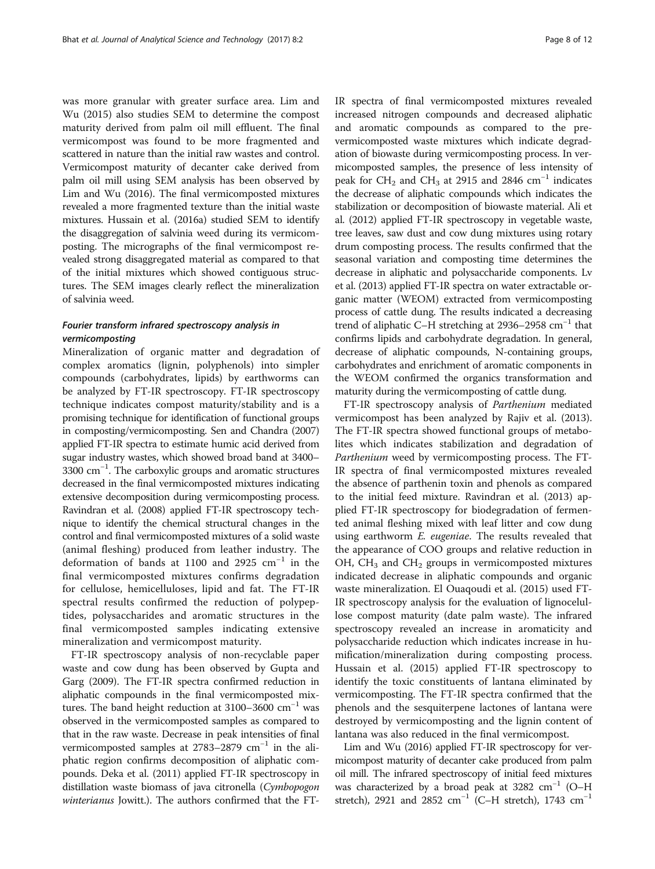was more granular with greater surface area. Lim and Wu ([2015\)](#page-10-0) also studies SEM to determine the compost maturity derived from palm oil mill effluent. The final vermicompost was found to be more fragmented and scattered in nature than the initial raw wastes and control. Vermicompost maturity of decanter cake derived from palm oil mill using SEM analysis has been observed by Lim and Wu [\(2016\)](#page-10-0). The final vermicomposted mixtures revealed a more fragmented texture than the initial waste mixtures. Hussain et al. [\(2016a\)](#page-10-0) studied SEM to identify the disaggregation of salvinia weed during its vermicomposting. The micrographs of the final vermicompost revealed strong disaggregated material as compared to that of the initial mixtures which showed contiguous structures. The SEM images clearly reflect the mineralization of salvinia weed.

#### Fourier transform infrared spectroscopy analysis in vermicomposting

Mineralization of organic matter and degradation of complex aromatics (lignin, polyphenols) into simpler compounds (carbohydrates, lipids) by earthworms can be analyzed by FT-IR spectroscopy. FT-IR spectroscopy technique indicates compost maturity/stability and is a promising technique for identification of functional groups in composting/vermicomposting. Sen and Chandra [\(2007](#page-10-0)) applied FT-IR spectra to estimate humic acid derived from sugar industry wastes, which showed broad band at 3400– 3300 cm−<sup>1</sup> . The carboxylic groups and aromatic structures decreased in the final vermicomposted mixtures indicating extensive decomposition during vermicomposting process. Ravindran et al. [\(2008](#page-10-0)) applied FT-IR spectroscopy technique to identify the chemical structural changes in the control and final vermicomposted mixtures of a solid waste (animal fleshing) produced from leather industry. The deformation of bands at 1100 and 2925 cm−<sup>1</sup> in the final vermicomposted mixtures confirms degradation for cellulose, hemicelluloses, lipid and fat. The FT-IR spectral results confirmed the reduction of polypeptides, polysaccharides and aromatic structures in the final vermicomposted samples indicating extensive mineralization and vermicompost maturity.

FT-IR spectroscopy analysis of non-recyclable paper waste and cow dung has been observed by Gupta and Garg [\(2009](#page-10-0)). The FT-IR spectra confirmed reduction in aliphatic compounds in the final vermicomposted mixtures. The band height reduction at 3100–3600  $cm^{-1}$  was observed in the vermicomposted samples as compared to that in the raw waste. Decrease in peak intensities of final vermicomposted samples at 2783–2879 cm<sup>-1</sup> in the aliphatic region confirms decomposition of aliphatic compounds. Deka et al. [\(2011](#page-9-0)) applied FT-IR spectroscopy in distillation waste biomass of java citronella (Cymbopogon winterianus Jowitt.). The authors confirmed that the FT- IR spectra of final vermicomposted mixtures revealed increased nitrogen compounds and decreased aliphatic and aromatic compounds as compared to the prevermicomposted waste mixtures which indicate degradation of biowaste during vermicomposting process. In vermicomposted samples, the presence of less intensity of peak for CH<sub>2</sub> and CH<sub>3</sub> at 2915 and 2846 cm<sup>-1</sup> indicates the decrease of aliphatic compounds which indicates the stabilization or decomposition of biowaste material. Ali et al. [\(2012\)](#page-9-0) applied FT-IR spectroscopy in vegetable waste, tree leaves, saw dust and cow dung mixtures using rotary drum composting process. The results confirmed that the seasonal variation and composting time determines the decrease in aliphatic and polysaccharide components. Lv et al. [\(2013](#page-10-0)) applied FT-IR spectra on water extractable organic matter (WEOM) extracted from vermicomposting process of cattle dung. The results indicated a decreasing trend of aliphatic C–H stretching at 2936–2958 cm−<sup>1</sup> that confirms lipids and carbohydrate degradation. In general, decrease of aliphatic compounds, N-containing groups, carbohydrates and enrichment of aromatic components in the WEOM confirmed the organics transformation and maturity during the vermicomposting of cattle dung.

FT-IR spectroscopy analysis of Parthenium mediated vermicompost has been analyzed by Rajiv et al. ([2013](#page-10-0)). The FT-IR spectra showed functional groups of metabolites which indicates stabilization and degradation of Parthenium weed by vermicomposting process. The FT-IR spectra of final vermicomposted mixtures revealed the absence of parthenin toxin and phenols as compared to the initial feed mixture. Ravindran et al. [\(2013\)](#page-10-0) applied FT-IR spectroscopy for biodegradation of fermented animal fleshing mixed with leaf litter and cow dung using earthworm E. eugeniae. The results revealed that the appearance of COO groups and relative reduction in OH,  $CH<sub>3</sub>$  and  $CH<sub>2</sub>$  groups in vermicomposted mixtures indicated decrease in aliphatic compounds and organic waste mineralization. El Ouaqoudi et al. ([2015\)](#page-10-0) used FT-IR spectroscopy analysis for the evaluation of lignocelullose compost maturity (date palm waste). The infrared spectroscopy revealed an increase in aromaticity and polysaccharide reduction which indicates increase in humification/mineralization during composting process. Hussain et al. [\(2015\)](#page-10-0) applied FT-IR spectroscopy to identify the toxic constituents of lantana eliminated by vermicomposting. The FT-IR spectra confirmed that the phenols and the sesquiterpene lactones of lantana were destroyed by vermicomposting and the lignin content of lantana was also reduced in the final vermicompost.

Lim and Wu [\(2016\)](#page-10-0) applied FT-IR spectroscopy for vermicompost maturity of decanter cake produced from palm oil mill. The infrared spectroscopy of initial feed mixtures was characterized by a broad peak at 3282 cm<sup>-1</sup> (O–H stretch), 2921 and 2852 cm<sup>-1</sup> (C–H stretch), 1743 cm<sup>-1</sup>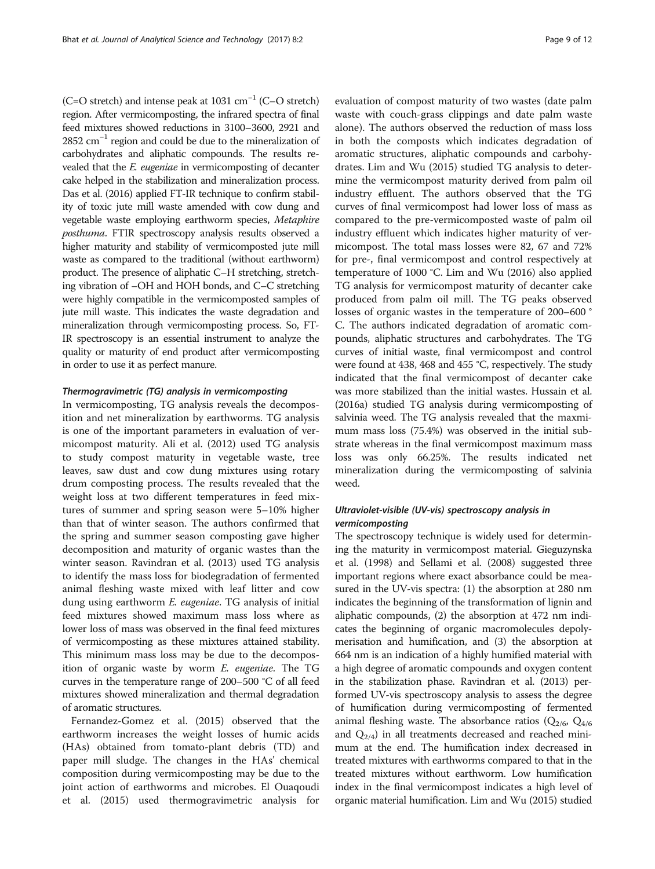(C=O stretch) and intense peak at 1031 cm−<sup>1</sup> (C–O stretch) region. After vermicomposting, the infrared spectra of final feed mixtures showed reductions in 3100–3600, 2921 and 2852 cm<sup>-1</sup> region and could be due to the mineralization of carbohydrates and aliphatic compounds. The results revealed that the E. eugeniae in vermicomposting of decanter cake helped in the stabilization and mineralization process. Das et al. ([2016\)](#page-9-0) applied FT-IR technique to confirm stability of toxic jute mill waste amended with cow dung and vegetable waste employing earthworm species, Metaphire posthuma. FTIR spectroscopy analysis results observed a higher maturity and stability of vermicomposted jute mill waste as compared to the traditional (without earthworm) product. The presence of aliphatic C–H stretching, stretching vibration of –OH and HOH bonds, and C–C stretching were highly compatible in the vermicomposted samples of jute mill waste. This indicates the waste degradation and mineralization through vermicomposting process. So, FT-IR spectroscopy is an essential instrument to analyze the quality or maturity of end product after vermicomposting in order to use it as perfect manure.

#### Thermogravimetric (TG) analysis in vermicomposting

In vermicomposting, TG analysis reveals the decomposition and net mineralization by earthworms. TG analysis is one of the important parameters in evaluation of vermicompost maturity. Ali et al. ([2012](#page-9-0)) used TG analysis to study compost maturity in vegetable waste, tree leaves, saw dust and cow dung mixtures using rotary drum composting process. The results revealed that the weight loss at two different temperatures in feed mixtures of summer and spring season were 5–10% higher than that of winter season. The authors confirmed that the spring and summer season composting gave higher decomposition and maturity of organic wastes than the winter season. Ravindran et al. [\(2013](#page-10-0)) used TG analysis to identify the mass loss for biodegradation of fermented animal fleshing waste mixed with leaf litter and cow dung using earthworm E. eugeniae. TG analysis of initial feed mixtures showed maximum mass loss where as lower loss of mass was observed in the final feed mixtures of vermicomposting as these mixtures attained stability. This minimum mass loss may be due to the decomposition of organic waste by worm E. eugeniae. The TG curves in the temperature range of 200–500 °C of all feed mixtures showed mineralization and thermal degradation of aromatic structures.

Fernandez-Gomez et al. ([2015\)](#page-10-0) observed that the earthworm increases the weight losses of humic acids (HAs) obtained from tomato-plant debris (TD) and paper mill sludge. The changes in the HAs' chemical composition during vermicomposting may be due to the joint action of earthworms and microbes. El Ouaqoudi et al. [\(2015\)](#page-10-0) used thermogravimetric analysis for

evaluation of compost maturity of two wastes (date palm waste with couch-grass clippings and date palm waste alone). The authors observed the reduction of mass loss in both the composts which indicates degradation of aromatic structures, aliphatic compounds and carbohydrates. Lim and Wu [\(2015\)](#page-10-0) studied TG analysis to determine the vermicompost maturity derived from palm oil industry effluent. The authors observed that the TG curves of final vermicompost had lower loss of mass as compared to the pre-vermicomposted waste of palm oil industry effluent which indicates higher maturity of vermicompost. The total mass losses were 82, 67 and 72% for pre-, final vermicompost and control respectively at temperature of 1000 °C. Lim and Wu [\(2016\)](#page-10-0) also applied TG analysis for vermicompost maturity of decanter cake produced from palm oil mill. The TG peaks observed losses of organic wastes in the temperature of 200–600 ° C. The authors indicated degradation of aromatic compounds, aliphatic structures and carbohydrates. The TG curves of initial waste, final vermicompost and control were found at 438, 468 and 455 °C, respectively. The study indicated that the final vermicompost of decanter cake was more stabilized than the initial wastes. Hussain et al. ([2016a](#page-10-0)) studied TG analysis during vermicomposting of salvinia weed. The TG analysis revealed that the maxmimum mass loss (75.4%) was observed in the initial substrate whereas in the final vermicompost maximum mass loss was only 66.25%. The results indicated net mineralization during the vermicomposting of salvinia weed.

## Ultraviolet-visible (UV-vis) spectroscopy analysis in vermicomposting

The spectroscopy technique is widely used for determining the maturity in vermicompost material. Gieguzynska et al. ([1998\)](#page-10-0) and Sellami et al. [\(2008\)](#page-10-0) suggested three important regions where exact absorbance could be measured in the UV-vis spectra: (1) the absorption at 280 nm indicates the beginning of the transformation of lignin and aliphatic compounds, (2) the absorption at 472 nm indicates the beginning of organic macromolecules depolymerisation and humification, and (3) the absorption at 664 nm is an indication of a highly humified material with a high degree of aromatic compounds and oxygen content in the stabilization phase. Ravindran et al. ([2013\)](#page-10-0) performed UV-vis spectroscopy analysis to assess the degree of humification during vermicomposting of fermented animal fleshing waste. The absorbance ratios  $(Q_{2/6}, Q_{4/6})$ and  $Q_{2/4}$ ) in all treatments decreased and reached minimum at the end. The humification index decreased in treated mixtures with earthworms compared to that in the treated mixtures without earthworm. Low humification index in the final vermicompost indicates a high level of organic material humification. Lim and Wu [\(2015\)](#page-10-0) studied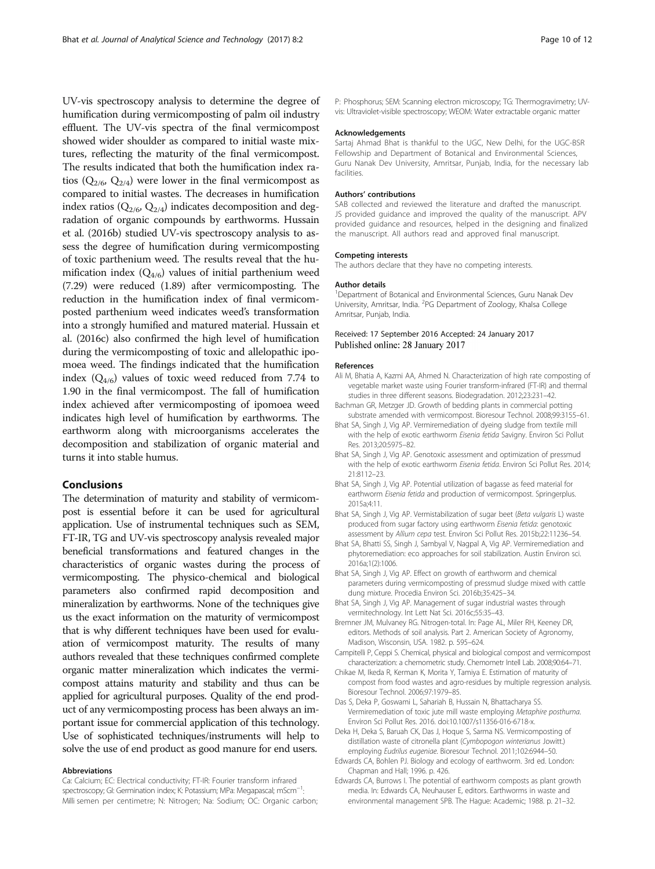<span id="page-9-0"></span>UV-vis spectroscopy analysis to determine the degree of humification during vermicomposting of palm oil industry effluent. The UV-vis spectra of the final vermicompost showed wider shoulder as compared to initial waste mixtures, reflecting the maturity of the final vermicompost. The results indicated that both the humification index ratios ( $Q_{2/6}$ ,  $Q_{2/4}$ ) were lower in the final vermicompost as compared to initial wastes. The decreases in humification index ratios ( $Q_{2/6}$ ,  $Q_{2/4}$ ) indicates decomposition and degradation of organic compounds by earthworms. Hussain et al. [\(2016b](#page-10-0)) studied UV-vis spectroscopy analysis to assess the degree of humification during vermicomposting of toxic parthenium weed. The results reveal that the humification index  $(Q_{4/6})$  values of initial parthenium weed (7.29) were reduced (1.89) after vermicomposting. The reduction in the humification index of final vermicomposted parthenium weed indicates weed's transformation into a strongly humified and matured material. Hussain et al. ([2016c](#page-10-0)) also confirmed the high level of humification during the vermicomposting of toxic and allelopathic ipomoea weed. The findings indicated that the humification index  $(Q_{4/6})$  values of toxic weed reduced from 7.74 to 1.90 in the final vermicompost. The fall of humification index achieved after vermicomposting of ipomoea weed indicates high level of humification by earthworms. The earthworm along with microorganisms accelerates the decomposition and stabilization of organic material and turns it into stable humus.

#### **Conclusions**

The determination of maturity and stability of vermicompost is essential before it can be used for agricultural application. Use of instrumental techniques such as SEM, FT-IR, TG and UV-vis spectroscopy analysis revealed major beneficial transformations and featured changes in the characteristics of organic wastes during the process of vermicomposting. The physico-chemical and biological parameters also confirmed rapid decomposition and mineralization by earthworms. None of the techniques give us the exact information on the maturity of vermicompost that is why different techniques have been used for evaluation of vermicompost maturity. The results of many authors revealed that these techniques confirmed complete organic matter mineralization which indicates the vermicompost attains maturity and stability and thus can be applied for agricultural purposes. Quality of the end product of any vermicomposting process has been always an important issue for commercial application of this technology. Use of sophisticated techniques/instruments will help to solve the use of end product as good manure for end users.

#### Abbreviations

Ca: Calcium; EC: Electrical conductivity; FT-IR: Fourier transform infrared spectroscopy; GI: Germination index; K: Potassium; MPa: Megapascal; mScm<sup>-1</sup>: : Milli semen per centimetre; N: Nitrogen; Na: Sodium; OC: Organic carbon;

P: Phosphorus; SEM: Scanning electron microscopy; TG: Thermogravimetry; UVvis: Ultraviolet-visible spectroscopy; WEOM: Water extractable organic matter

#### Acknowledgements

Sartaj Ahmad Bhat is thankful to the UGC, New Delhi, for the UGC-BSR Fellowship and Department of Botanical and Environmental Sciences, Guru Nanak Dev University, Amritsar, Punjab, India, for the necessary lab facilities.

#### Authors' contributions

SAB collected and reviewed the literature and drafted the manuscript. JS provided guidance and improved the quality of the manuscript. APV provided guidance and resources, helped in the designing and finalized the manuscript. All authors read and approved final manuscript.

#### Competing interests

The authors declare that they have no competing interests.

#### Author details

<sup>1</sup>Department of Botanical and Environmental Sciences, Guru Nanak Dev University, Amritsar, India. <sup>2</sup>PG Department of Zoology, Khalsa College Amritsar, Punjab, India.

#### Received: 17 September 2016 Accepted: 24 January 2017 Published online: 28 January 2017

#### References

- Ali M, Bhatia A, Kazmi AA, Ahmed N. Characterization of high rate composting of vegetable market waste using Fourier transform-infrared (FT-IR) and thermal studies in three different seasons. Biodegradation. 2012;23:231–42.
- Bachman GR, Metzger JD. Growth of bedding plants in commercial potting substrate amended with vermicompost. Bioresour Technol. 2008;99:3155–61.
- Bhat SA, Singh J, Vig AP. Vermiremediation of dyeing sludge from textile mill with the help of exotic earthworm Eisenia fetida Savigny. Environ Sci Pollut Res. 2013;20:5975–82.
- Bhat SA, Singh J, Vig AP. Genotoxic assessment and optimization of pressmud with the help of exotic earthworm Eisenia fetida. Environ Sci Pollut Res. 2014; 21:8112–23.
- Bhat SA, Singh J, Vig AP. Potential utilization of bagasse as feed material for earthworm Eisenia fetida and production of vermicompost. Springerplus. 2015a;4:11.
- Bhat SA, Singh J, Vig AP. Vermistabilization of sugar beet (Beta vulgaris L) waste produced from sugar factory using earthworm Eisenia fetida: genotoxic assessment by Allium cepa test. Environ Sci Pollut Res. 2015b;22:11236–54.
- Bhat SA, Bhatti SS, Singh J, Sambyal V, Nagpal A, Vig AP. Vermiremediation and phytoremediation: eco approaches for soil stabilization. Austin Environ sci. 2016a;1(2):1006.
- Bhat SA, Singh J, Vig AP. Effect on growth of earthworm and chemical parameters during vermicomposting of pressmud sludge mixed with cattle dung mixture. Procedia Environ Sci. 2016b;35:425–34.
- Bhat SA, Singh J, Vig AP. Management of sugar industrial wastes through vermitechnology. Int Lett Nat Sci. 2016c;55:35–43.
- Bremner JM, Mulvaney RG. Nitrogen-total. In: Page AL, Miler RH, Keeney DR, editors. Methods of soil analysis. Part 2. American Society of Agronomy, Madison, Wisconsin, USA. 1982. p. 595–624.
- Campitelli P, Ceppi S. Chemical, physical and biological compost and vermicompost characterization: a chemometric study. Chemometr Intell Lab. 2008;90:64–71.
- Chikae M, Ikeda R, Kerman K, Morita Y, Tamiya E. Estimation of maturity of compost from food wastes and agro-residues by multiple regression analysis. Bioresour Technol. 2006;97:1979–85.
- Das S, Deka P, Goswami L, Sahariah B, Hussain N, Bhattacharya SS. Vermiremediation of toxic jute mill waste employing Metaphire posthuma. Environ Sci Pollut Res. 2016. doi:[10.1007/s11356-016-6718-x.](http://dx.doi.org/10.1007/s11356-016-6718-x)
- Deka H, Deka S, Baruah CK, Das J, Hoque S, Sarma NS. Vermicomposting of distillation waste of citronella plant (Cymbopogon winterianus Jowitt.) employing Eudrilus eugeniae. Bioresour Technol. 2011;102:6944–50.
- Edwards CA, Bohlen PJ. Biology and ecology of earthworm. 3rd ed. London: Chapman and Hall; 1996. p. 426.
- Edwards CA, Burrows I. The potential of earthworm composts as plant growth media. In: Edwards CA, Neuhauser E, editors. Earthworms in waste and environmental management SPB. The Hague: Academic; 1988. p. 21–32.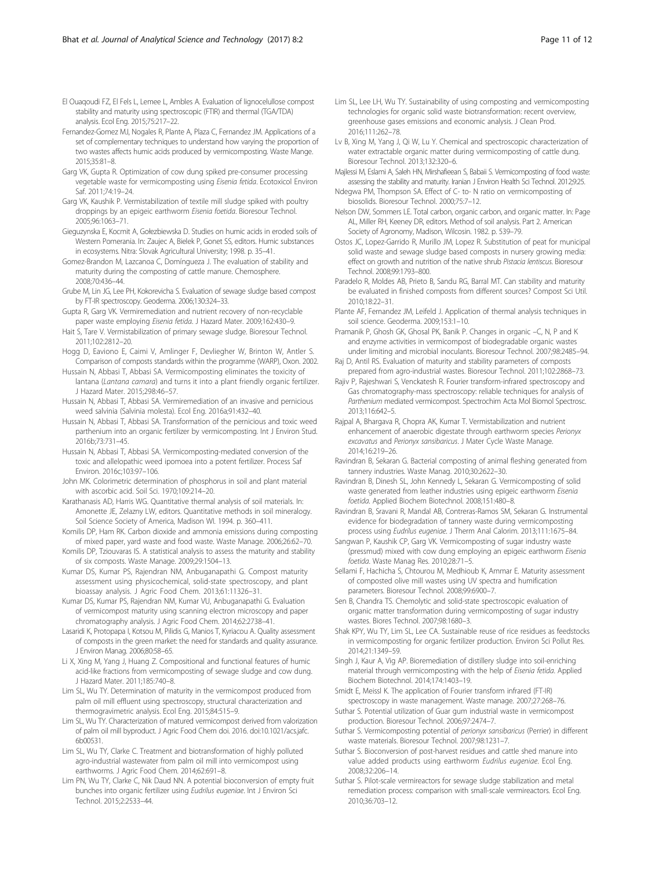- <span id="page-10-0"></span>El Ouaqoudi FZ, El Fels L, Lemee L, Ambles A. Evaluation of lignocelullose compost stability and maturity using spectroscopic (FTIR) and thermal (TGA/TDA) analysis. Ecol Eng. 2015;75:217–22.
- Fernandez-Gomez MJ, Nogales R, Plante A, Plaza C, Fernandez JM. Applications of a set of complementary techniques to understand how varying the proportion of two wastes affects humic acids produced by vermicomposting. Waste Mange. 2015;35:81–8.
- Garg VK, Gupta R. Optimization of cow dung spiked pre-consumer processing vegetable waste for vermicomposting using Eisenia fetida. Ecotoxicol Environ Saf. 2011;74:19–24.
- Garg VK, Kaushik P. Vermistabilization of textile mill sludge spiked with poultry droppings by an epigeic earthworm Eisenia foetida. Bioresour Technol. 2005;96:1063–71.
- Gieguzynska E, Kocmit A, Gołezbiewska D. Studies on humic acids in eroded soils of Western Pomerania. In: Zaujec A, Bielek P, Gonet SS, editors. Humic substances in ecosystems. Nitra: Slovak Agricultural University; 1998. p. 35–41.
- Gomez-Brandon M, Lazcanoa C, Domíngueza J. The evaluation of stability and maturity during the composting of cattle manure. Chemosphere. 2008;70:436–44.
- Grube M, Lin JG, Lee PH, Kokorevicha S. Evaluation of sewage sludge based compost by FT-IR spectroscopy. Geoderma. 2006;130:324–33.
- Gupta R, Garg VK. Vermiremediation and nutrient recovery of non-recyclable paper waste employing Eisenia fetida. J Hazard Mater. 2009;162:430–9.
- Hait S, Tare V. Vermistabilization of primary sewage sludge. Bioresour Technol. 2011;102:2812–20.
- Hogg D, Eaviono E, Caimi V, Amlinger F, Devliegher W, Brinton W, Antler S. Comparison of composts standards within the programme (WARP), Oxon. 2002.
- Hussain N, Abbasi T, Abbasi SA. Vermicomposting eliminates the toxicity of lantana (Lantana camara) and turns it into a plant friendly organic fertilizer. J Hazard Mater. 2015;298:46–57.
- Hussain N, Abbasi T, Abbasi SA. Vermiremediation of an invasive and pernicious weed salvinia (Salvinia molesta). Ecol Eng. 2016a;91:432–40.
- Hussain N, Abbasi T, Abbasi SA. Transformation of the pernicious and toxic weed parthenium into an organic fertilizer by vermicomposting. Int J Environ Stud. 2016b;73:731–45.
- Hussain N, Abbasi T, Abbasi SA. Vermicomposting-mediated conversion of the toxic and allelopathic weed ipomoea into a potent fertilizer. Process Saf Environ. 2016c;103:97–106.
- John MK. Colorimetric determination of phosphorus in soil and plant material with ascorbic acid. Soil Sci. 1970;109:214–20.
- Karathanasis AD, Harris WG. Quantitative thermal analysis of soil materials. In: Amonette JE, Zelazny LW, editors. Quantitative methods in soil mineralogy. Soil Science Society of America, Madison WI. 1994. p. 360–411.
- Komilis DP, Ham RK. Carbon dioxide and ammonia emissions during composting of mixed paper, yard waste and food waste. Waste Manage. 2006;26:62–70.
- Komilis DP, Tziouvaras IS. A statistical analysis to assess the maturity and stability of six composts. Waste Manage. 2009;29:1504–13.
- Kumar DS, Kumar PS, Rajendran NM, Anbuganapathi G. Compost maturity assessment using physicochemical, solid-state spectroscopy, and plant bioassay analysis. J Agric Food Chem. 2013;61:11326–31.
- Kumar DS, Kumar PS, Rajendran NM, Kumar VU, Anbuganapathi G. Evaluation of vermicompost maturity using scanning electron microscopy and paper chromatography analysis. J Agric Food Chem. 2014;62:2738–41.
- Lasaridi K, Protopapa I, Kotsou M, Pilidis G, Manios T, Kyriacou A. Quality assessment of composts in the green market: the need for standards and quality assurance. J Environ Manag. 2006;80:58–65.
- Li X, Xing M, Yang J, Huang Z. Compositional and functional features of humic acid-like fractions from vermicomposting of sewage sludge and cow dung. J Hazard Mater. 2011;185:740–8.
- Lim SL, Wu TY. Determination of maturity in the vermicompost produced from palm oil mill effluent using spectroscopy, structural characterization and thermogravimetric analysis. Ecol Eng. 2015;84:515–9.
- Lim SL, Wu TY. Characterization of matured vermicompost derived from valorization of palm oil mill byproduct. J Agric Food Chem doi. 2016. doi[:10.1021/acs.jafc.](http://dx.doi.org/10.1021/acs.jafc.6b00531) [6b00531](http://dx.doi.org/10.1021/acs.jafc.6b00531).
- Lim SL, Wu TY, Clarke C. Treatment and biotransformation of highly polluted agro-industrial wastewater from palm oil mill into vermicompost using earthworms. J Agric Food Chem. 2014;62:691–8.
- Lim PN, Wu TY, Clarke C, Nik Daud NN. A potential bioconversion of empty fruit bunches into organic fertilizer using Eudrilus eugeniae. Int J Environ Sci Technol. 2015;2:2533–44.
- Lim SL, Lee LH, Wu TY. Sustainability of using composting and vermicomposting technologies for organic solid waste biotransformation: recent overview, greenhouse gases emissions and economic analysis. J Clean Prod. 2016;111:262–78.
- Lv B, Xing M, Yang J, Qi W, Lu Y. Chemical and spectroscopic characterization of water extractable organic matter during vermicomposting of cattle dung. Bioresour Technol. 2013;132:320–6.
- Majlessi M, Eslami A, Saleh HN, Mirshafieean S, Babaii S. Vermicomposting of food waste: assessing the stability and maturity. Iranian J Environ Health Sci Technol. 2012;9:25.
- Ndegwa PM, Thompson SA. Effect of C- to- N ratio on vermicomposting of biosolids. Bioresour Technol. 2000;75:7–12.
- Nelson DW, Sommers LE. Total carbon, organic carbon, and organic matter. In: Page AL, Miller RH, Keeney DR, editors. Method of soil analysis. Part 2. American Society of Agronomy, Madison, Wilcosin. 1982. p. 539–79.
- Ostos JC, Lopez-Garrido R, Murillo JM, Lopez R. Substitution of peat for municipal solid waste and sewage sludge based composts in nursery growing media: effect on growth and nutrition of the native shrub Pistacia lentiscus. Bioresour Technol. 2008;99:1793–800.
- Paradelo R, Moldes AB, Prieto B, Sandu RG, Barral MT. Can stability and maturity be evaluated in finished composts from different sources? Compost Sci Util. 2010;18:22–31.
- Plante AF, Fernandez JM, Leifeld J. Application of thermal analysis techniques in soil science. Geoderma. 2009;153:1–10.
- Pramanik P, Ghosh GK, Ghosal PK, Banik P. Changes in organic –C, N, P and K and enzyme activities in vermicompost of biodegradable organic wastes under limiting and microbial inoculants. Bioresour Technol. 2007;98:2485–94.
- Raj D, Antil RS. Evaluation of maturity and stability parameters of composts prepared from agro-industrial wastes. Bioresour Technol. 2011;102:2868–73.
- Rajiv P, Rajeshwari S, Venckatesh R. Fourier transform-infrared spectroscopy and Gas chromatography-mass spectroscopy: reliable techniques for analysis of Parthenium mediated vermicompost. Spectrochim Acta Mol Biomol Spectrosc. 2013;116:642–5.
- Rajpal A, Bhargava R, Chopra AK, Kumar T. Vermistabilization and nutrient enhancement of anaerobic digestate through earthworm species Perionyx excavatus and Perionyx sansibaricus. J Mater Cycle Waste Manage. 2014;16:219–26.
- Ravindran B, Sekaran G. Bacterial composting of animal fleshing generated from tannery industries. Waste Manag. 2010;30:2622–30.
- Ravindran B, Dinesh SL, John Kennedy L, Sekaran G. Vermicomposting of solid waste generated from leather industries using epigeic earthworm Eisenia foetida. Applied Biochem Biotechnol. 2008;151:480–8.
- Ravindran B, Sravani R, Mandal AB, Contreras-Ramos SM, Sekaran G. Instrumental evidence for biodegradation of tannery waste during vermicomposting process using Eudrilus eugeniae. J Therm Anal Calorim. 2013;111:1675–84.
- Sangwan P, Kaushik CP, Garg VK. Vermicomposting of sugar industry waste (pressmud) mixed with cow dung employing an epigeic earthworm Eisenia foetida. Waste Manag Res. 2010;28:71–5.
- Sellami F, Hachicha S, Chtourou M, Medhioub K, Ammar E. Maturity assessment of composted olive mill wastes using UV spectra and humification parameters. Bioresour Technol. 2008;99:6900–7.
- Sen B, Chandra TS. Chemolytic and solid-state spectroscopic evaluation of organic matter transformation during vermicomposting of sugar industry wastes. Biores Technol. 2007;98:1680–3.
- Shak KPY, Wu TY, Lim SL, Lee CA. Sustainable reuse of rice residues as feedstocks in vermicomposting for organic fertilizer production. Environ Sci Pollut Res. 2014;21:1349–59.
- Singh J, Kaur A, Vig AP. Bioremediation of distillery sludge into soil-enriching material through vermicomposting with the help of Eisenia fetida. Applied Biochem Biotechnol. 2014;174:1403–19.
- Smidt E, Meissl K. The application of Fourier transform infrared (FT-IR) spectroscopy in waste management. Waste manage. 2007;27:268–76.
- Suthar S. Potential utilization of Guar gum industrial waste in vermicompost production. Bioresour Technol. 2006;97:2474–7.
- Suthar S. Vermicomposting potential of perionyx sansibaricus (Perrier) in different waste materials. Bioresour Technol. 2007;98:1231–7.
- Suthar S. Bioconversion of post-harvest residues and cattle shed manure into value added products using earthworm Eudrilus eugeniae. Ecol Eng. 2008;32:206–14.
- Suthar S. Pilot-scale vermireactors for sewage sludge stabilization and metal remediation process: comparison with small-scale vermireactors. Ecol Eng. 2010;36:703–12.